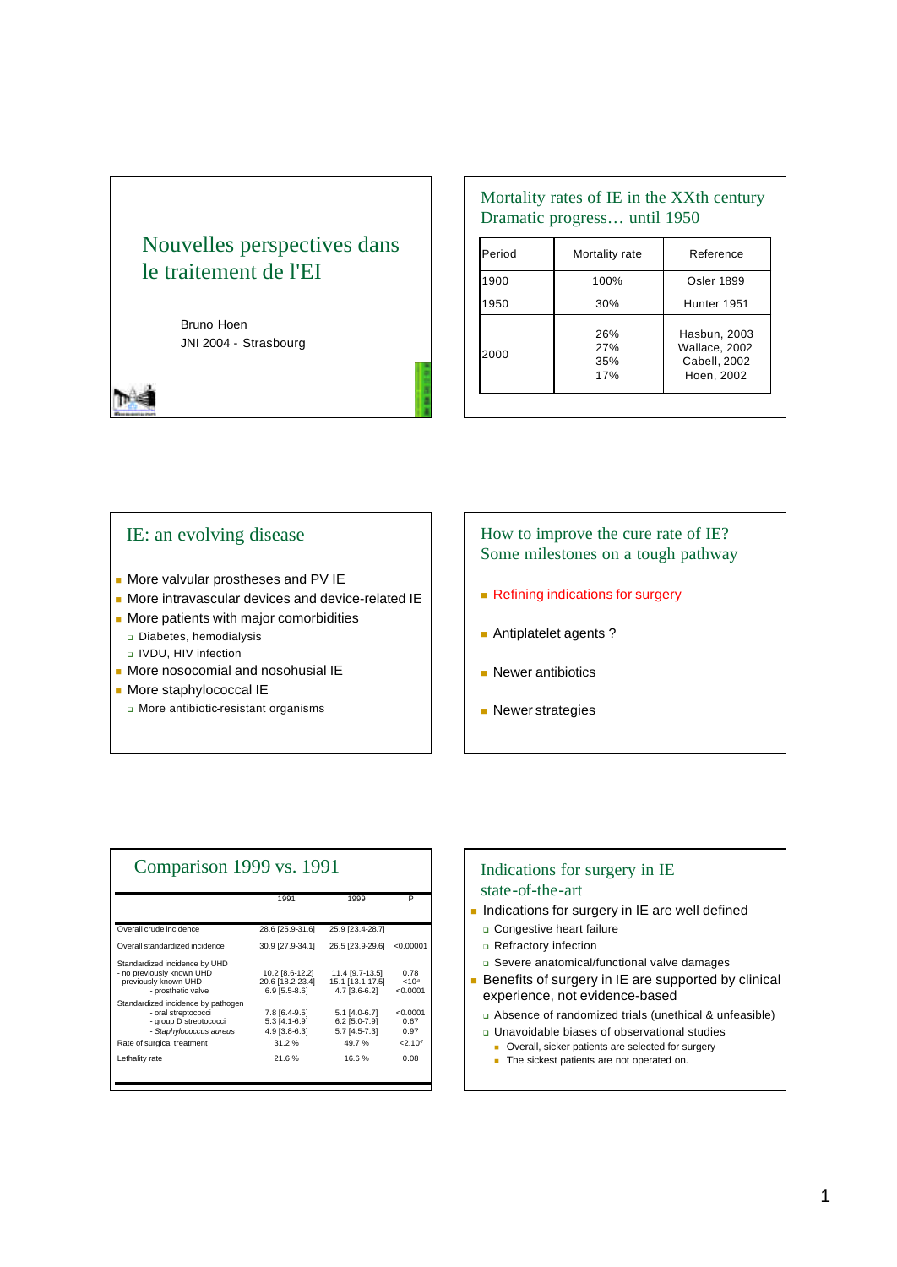# Nouvelles perspectives dans le traitement de l'EI

Bruno Hoen JNI 2004 - Strasbourg

Mortality rates of IE in the XXth century Dramatic progress… until 1950

| Period | Mortality rate           | Reference                                                   |
|--------|--------------------------|-------------------------------------------------------------|
| 1900   | 100%                     | <b>Osler 1899</b>                                           |
| 1950   | 30%                      | Hunter 1951                                                 |
| 2000   | 26%<br>27%<br>35%<br>17% | Hasbun, 2003<br>Wallace, 2002<br>Cabell, 2002<br>Hoen, 2002 |

## IE: an evolving disease

- **n** More valvular prostheses and PV IE
- **n** More intravascular devices and device-related IE
- **n** More patients with major comorbidities
	- Diabetes, hemodialysis
	- <sup>q</sup> IVDU, HIV infection
- $\blacksquare$  More nosocomial and nosohusial IE
- **n** More staphylococcal IE
	- <sup>q</sup> More antibiotic-resistant organisms

## How to improve the cure rate of IE? Some milestones on a tough pathway

- Refining indications for surgery
- **Antiplatelet agents?**
- $\blacksquare$  Newer antibiotics
- **Newer strategies**

| Comparison 1999 vs. 1991                                                                                                                     |                                                            |                                                              |                                               |  |  |
|----------------------------------------------------------------------------------------------------------------------------------------------|------------------------------------------------------------|--------------------------------------------------------------|-----------------------------------------------|--|--|
|                                                                                                                                              | 1991                                                       | 1999                                                         | P                                             |  |  |
| Overall crude incidence                                                                                                                      | 28.6 [25.9-31.6]                                           | 25.9 [23.4-28.7]                                             |                                               |  |  |
| Overall standardized incidence                                                                                                               | 30.9 [27.9-34.1]                                           | 26.5 [23.9-29.6]                                             | < 0.00001                                     |  |  |
| Standardized incidence by UHD<br>- no previously known UHD<br>- previously known UHD<br>- prosthetic valve                                   | 10.2 [8.6-12.2]<br>20.6 [18.2-23.4]<br>$6.9$ [5.5-8.6]     | 11.4 [9.7-13.5]<br>15.1 [13.1-17.5]<br>4.7 [3.6-6.2]         | 0.78<br>< 10 <sup>8</sup><br>< 0.0001         |  |  |
| Standardized incidence by pathogen<br>- oral streptococci<br>- group D streptococci<br>- Staphylococcus aureus<br>Rate of surgical treatment | 7.8 [6.4-9.5]<br>$5.3$ [4.1-6.9]<br>4.9 [3.8-6.3]<br>31.2% | $5.1$ [4.0-6.7]<br>$6.2$ [5.0-7.9]<br>5.7 [4.5-7.3]<br>49.7% | < 0.0001<br>0.67<br>0.97<br>2.10 <sup>7</sup> |  |  |
| Lethality rate                                                                                                                               | 21.6%                                                      | 16.6%                                                        | 0.08                                          |  |  |

#### Indications for surgery in IE state-of-the-art

- n Indications for surgery in IE are well defined
	- **Q** Congestive heart failure
	- **Q** Refractory infection
	- <sup>q</sup> Severe anatomical/functional valve damages
- Benefits of surgery in IE are supported by clinical experience, not evidence-based
- <sup>q</sup> Absence of randomized trials (unethical & unfeasible)
- <sup>q</sup> Unavoidable biases of observational studies
	- Overall, sicker patients are selected for surgery
	- The sickest patients are not operated on.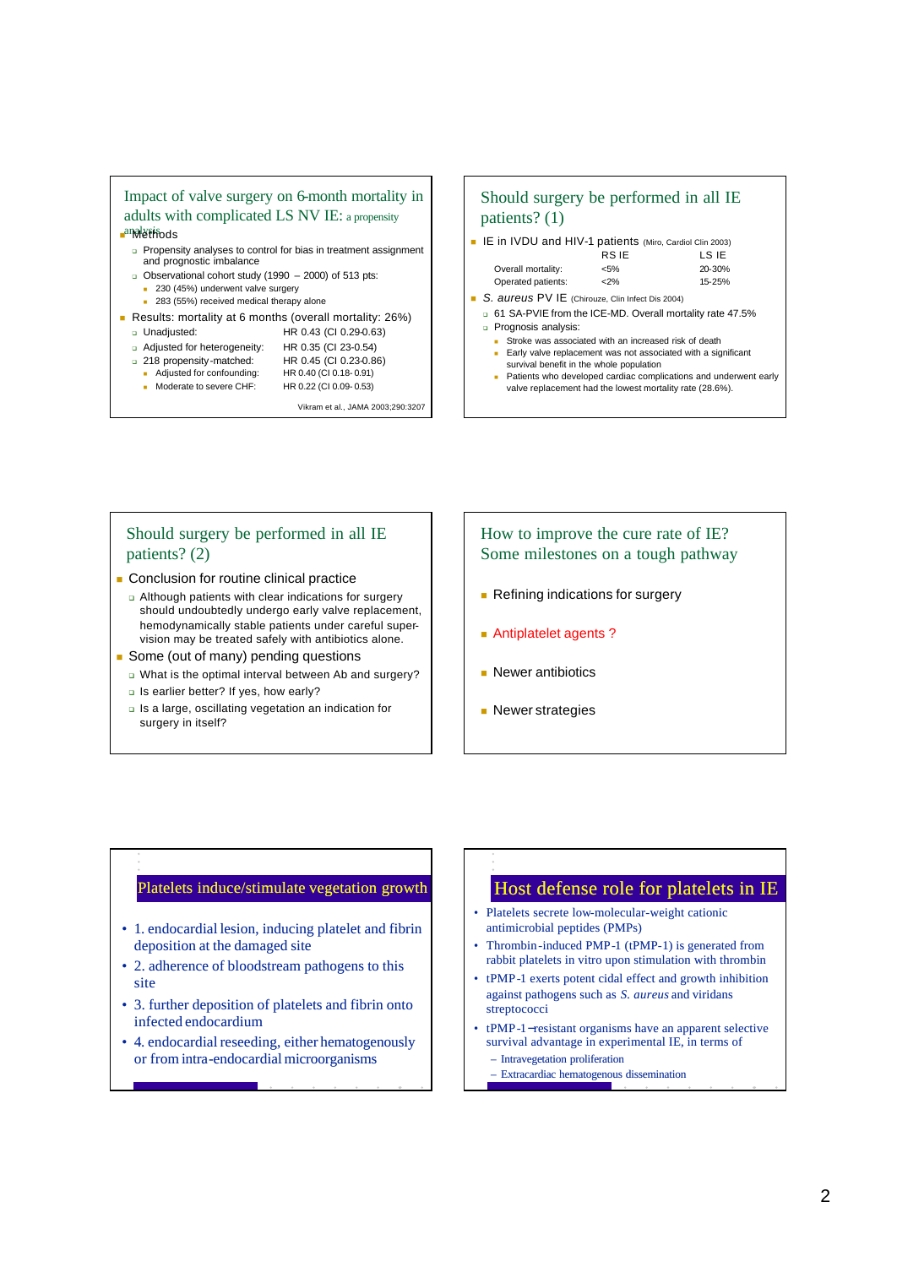

- 283 (55%) received medical therapy alone
- <sup>n</sup> Results: mortality at 6 months (overall mortality: 26%)
	- <sup>q</sup> Unadjusted: HR 0.43 (CI 0.29-0.63)
		-
	- **□** Adjusted for heterogeneity: HR 0.35 (CI 23-0.54)<br>□ 218 propensity-matched: HR 0.45 (CI 0.23-0.86)
	- q 218 propensity-matched:
		- Adjusted for confounding: HR 0.40 (CI 0.18-0.91)
		- Moderate to severe CHF: HR 0.22 (CI 0.09-0.53)
			- - Vikram et al., JAMA 2003;290:3207

### Should surgery be performed in all IE patients? (1)

**E** IE in IVDU and HIV-1 patients (Miro, Cardiol Clin 2003)

| <b>RSIE</b> | LS IE  |
|-------------|--------|
| $5\%$       | 20-30% |
| $<$ 2%      | 15-25% |
|             |        |

- S. aureus PV IE (Chirouze, Clin Infect Dis 2004) <sup>q</sup> 61 SA-PVIE from the ICE-MD. Overall mortality rate 47.5% <sup>q</sup> Prognosis analysis:
	-
	- Stroke was associated with an increased risk of death **Early valve replacement was not associated with a significant**
	- survival benefit in the whole population Patients who developed cardiac complications and underwent early
	- valve replacement had the lowest mortality rate (28.6%).

#### Should surgery be performed in all IE patients? (2)

- **n** Conclusion for routine clinical practice
	- <sup>q</sup> Although patients with clear indications for surgery should undoubtedly undergo early valve replacement, hemodynamically stable patients under careful supervision may be treated safely with antibiotics alone.
- **n** Some (out of many) pending questions
	- <sup>q</sup> What is the optimal interval between Ab and surgery?
	- **a** Is earlier better? If yes, how early?
	- <sup>q</sup> Is a large, oscillating vegetation an indication for surgery in itself?

#### How to improve the cure rate of IE? Some milestones on a tough pathway

- **Refining indications for surgery**
- **Antiplatelet agents?**
- $\blacksquare$  Newer antibiotics
- **Newer strategies**

#### Platelets induce/stimulate vegetation growth

- 1. endocardial lesion, inducing platelet and fibrin deposition at the damaged site
- 2. adherence of bloodstream pathogens to this site
- 3. further deposition of platelets and fibrin onto infected endocardium
- 4. endocardial reseeding, either hematogenously or from intra-endocardial microorganisms

## Host defense role for platelets in IE

- Platelets secrete low-molecular-weight cationic antimicrobial peptides (PMPs)
- Thrombin-induced PMP-1 (tPMP-1) is generated from rabbit platelets in vitro upon stimulation with thrombin
- tPMP-1 exerts potent cidal effect and growth inhibition against pathogens such as *S. aureus* and viridans streptococci
- tPMP-1−resistant organisms have an apparent selective survival advantage in experimental IE, in terms of – Intravegetation proliferation
	-
	- Extracardiac hematogenous dissemination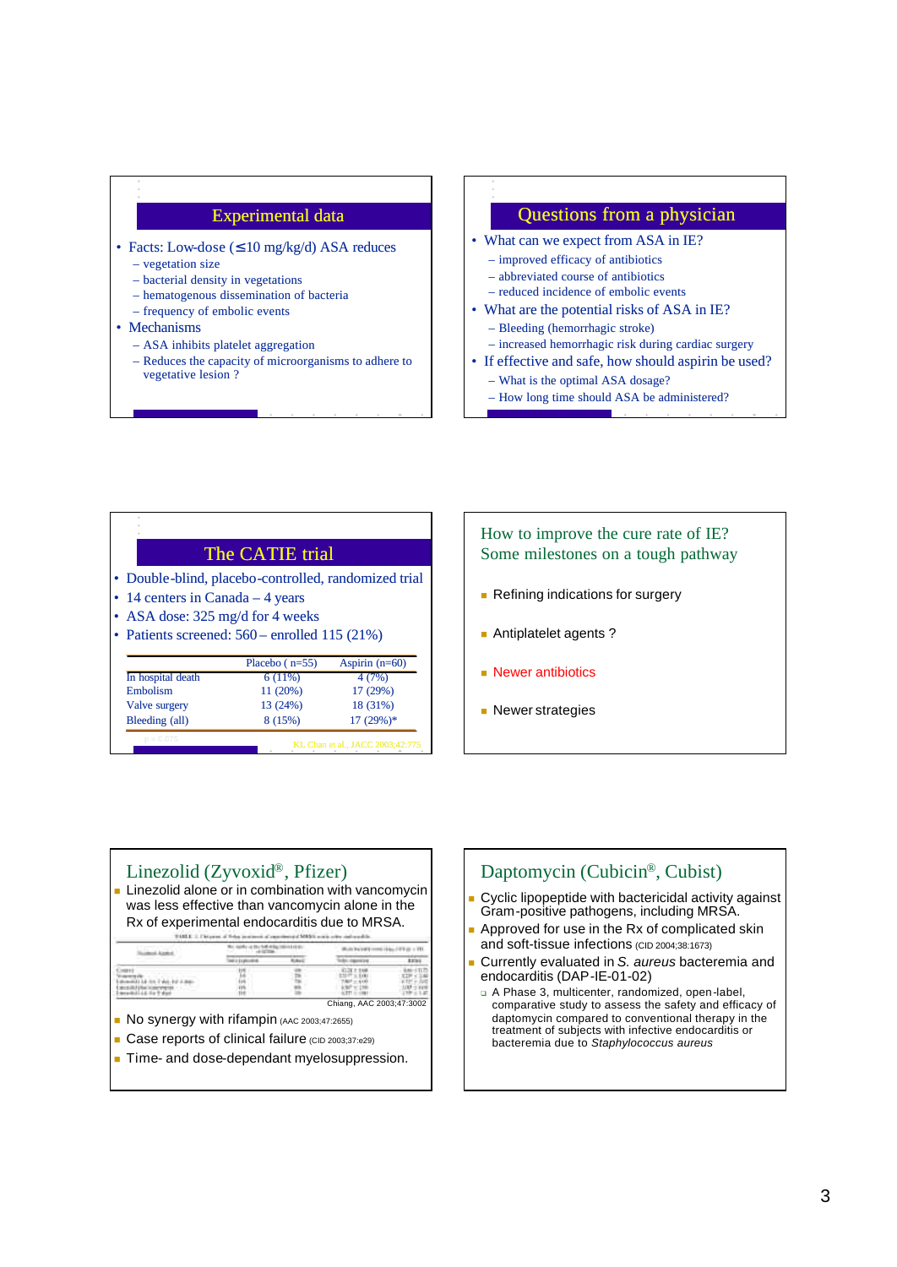#### Experimental data

- Facts: Low-dose  $( \leq 10 \text{ mg/kg/d} )$  ASA reduces
	- vegetation size
	- bacterial density in vegetations – hematogenous dissemination of bacteria
	- frequency of embolic events
- Mechanisms
	- ASA inhibits platelet aggregation
	- Reduces the capacity of microorganisms to adhere to vegetative lesion ?

#### Questions from a physician

- What can we expect from ASA in IE?
	- improved efficacy of antibiotics
	- abbreviated course of antibiotics
- reduced incidence of embolic events
- What are the potential risks of ASA in IE?
- Bleeding (hemorrhagic stroke) – increased hemorrhagic risk during cardiac surgery
- If effective and safe, how should aspirin be used?
	- What is the optimal ASA dosage?
	- How long time should ASA be administered?

| The CATIE trial                                      |
|------------------------------------------------------|
| • Double-blind, placebo-controlled, randomized trial |
| • 14 centers in Canada $-$ 4 years                   |
| • ASA dose: $325 \text{ mg/d}$ for 4 weeks           |
| • Patients screened: $560$ – enrolled 115 (21%)      |
|                                                      |

|                   | Placebo $(n=55)$ | Aspirin $(n=60)$ |  |
|-------------------|------------------|------------------|--|
| In hospital death | 6(11%)           | 4(7%)            |  |
| Embolism          | 11 (20%)         | 17 (29%)         |  |
| Valve surgery     | 13 (24%)         | 18 (31%)         |  |
| Bleeding (all)    | 8 (15%)          | $17(29%)$ *      |  |

## How to improve the cure rate of IE? Some milestones on a tough pathway

- **Refining indications for surgery**
- **Antiplatelet agents?**
- $\blacksquare$  Newer antibiotics
- **Newer strategies**

#### Linezolid (Zyvoxid®, Pfizer)

 $\blacksquare$  Linezolid alone or in combination with vancomycin was less effective than vancomycin alone in the Rx of experimental endocarditis due to MRSA.

|  |    | <b>Nicked</b> |  | \$250 |
|--|----|---------------|--|-------|
|  |    |               |  |       |
|  | 14 |               |  |       |

- **No synergy with rifampin (AAC 2003;47:2655)**
- Case reports of clinical failure (CID 2003;37:e29)
- Time- and dose-dependant myelosuppression.

## Daptomycin (Cubicin®, Cubist)

- Cyclic lipopeptide with bactericidal activity against Gram-positive pathogens, including MRSA.
- Approved for use in the Rx of complicated skin and soft-tissue infections (CID 2004;38:1673)
- <sup>n</sup> Currently evaluated in *S. aureus* bacteremia and endocarditis (DAP-IE-01-02)
	- <sup>q</sup> A Phase 3, multicenter, randomized, open-label, comparative study to assess the safety and efficacy of daptomycin compared to conventional therapy in the treatment of subjects with infective endocarditis or bacteremia due to *Staphylococcus aureus*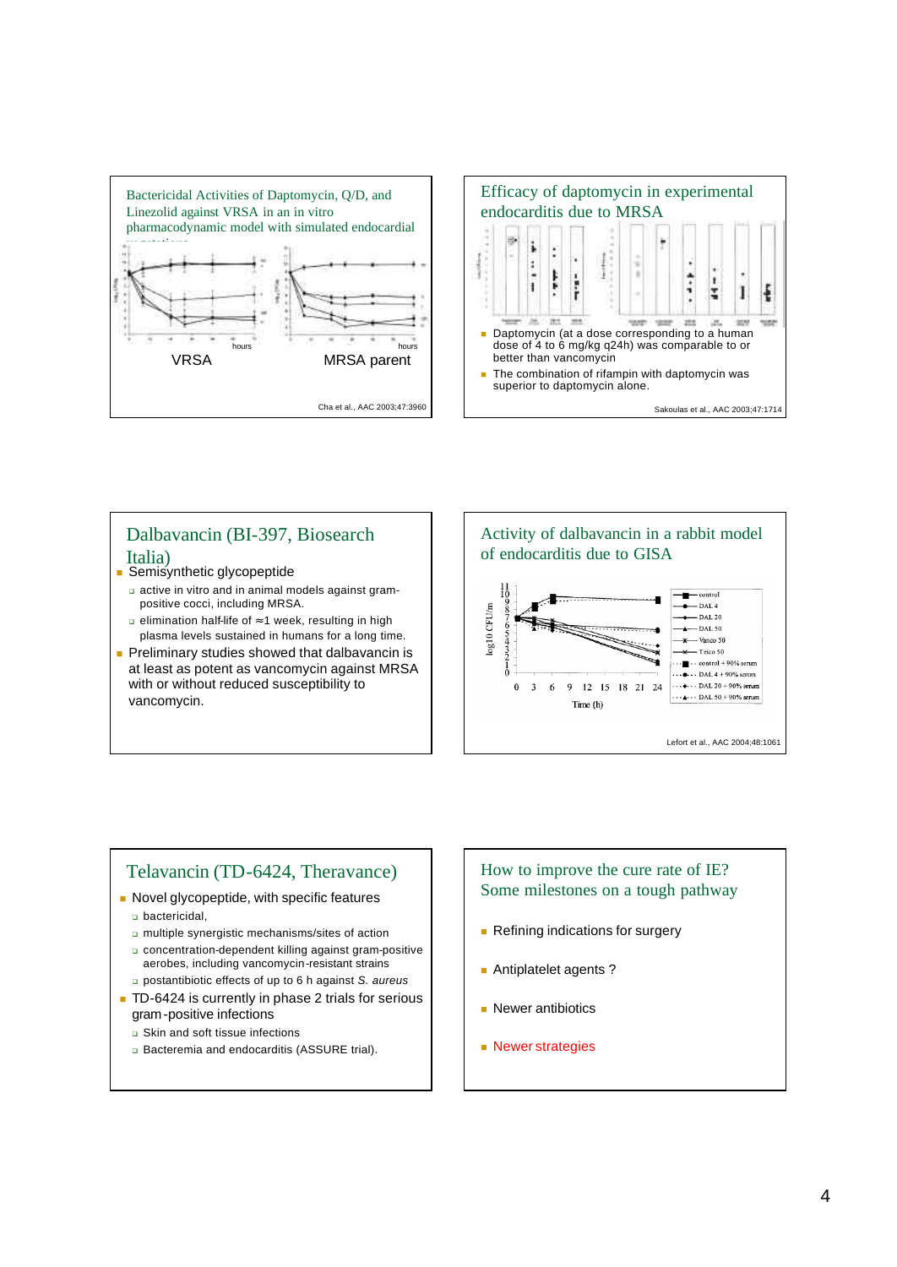



## Dalbavancin (BI-397, Biosearch Italia)

- Semisynthetic glycopeptide
	- <sup>q</sup> active in vitro and in animal models against grampositive cocci, including MRSA.
	- <sup>q</sup> elimination half-life of ≈ 1 week, resulting in high plasma levels sustained in humans for a long time.
- Preliminary studies showed that dalbavancin is at least as potent as vancomycin against MRSA with or without reduced susceptibility to vancomycin.



Lefort et al., AAC 2004;48:1061

 $\cdots$  A  $\cdots$  DAL 50 + 90% serum

## Telavancin (TD-6424, Theravance)

- Novel glycopeptide, with specific features
	- <sup>q</sup> bactericidal,
	- <sup>q</sup> multiple synergistic mechanisms/sites of action
	- <sup>q</sup> concentration-dependent killing against gram-positive aerobes, including vancomycin-resistant strains <sup>q</sup> postantibiotic effects of up to 6 h against *S. aureus*
- TD-6424 is currently in phase 2 trials for serious
- gram-positive infections
- <sup>q</sup> Skin and soft tissue infections
- **a** Bacteremia and endocarditis (ASSURE trial).

### How to improve the cure rate of IE? Some milestones on a tough pathway

**Refining indications for surgery** 

Time (h)

- **Antiplatelet agents?**
- $\blacksquare$  Newer antibiotics
- **Newer strategies**